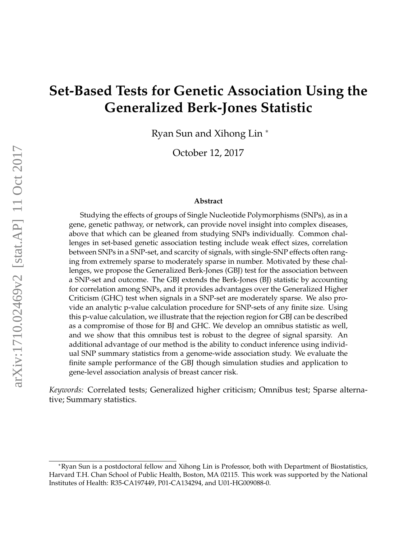# **Set-Based Tests for Genetic Association Using the Generalized Berk-Jones Statistic**

Ryan Sun and Xihong Lin <sup>∗</sup>

October 12, 2017

#### **Abstract**

Studying the effects of groups of Single Nucleotide Polymorphisms (SNPs), as in a gene, genetic pathway, or network, can provide novel insight into complex diseases, above that which can be gleaned from studying SNPs individually. Common challenges in set-based genetic association testing include weak effect sizes, correlation between SNPs in a SNP-set, and scarcity of signals, with single-SNP effects often ranging from extremely sparse to moderately sparse in number. Motivated by these challenges, we propose the Generalized Berk-Jones (GBJ) test for the association between a SNP-set and outcome. The GBJ extends the Berk-Jones (BJ) statistic by accounting for correlation among SNPs, and it provides advantages over the Generalized Higher Criticism (GHC) test when signals in a SNP-set are moderately sparse. We also provide an analytic p-value calculation procedure for SNP-sets of any finite size. Using this p-value calculation, we illustrate that the rejection region for GBJ can be described as a compromise of those for BJ and GHC. We develop an omnibus statistic as well, and we show that this omnibus test is robust to the degree of signal sparsity. An additional advantage of our method is the ability to conduct inference using individual SNP summary statistics from a genome-wide association study. We evaluate the finite sample performance of the GBJ though simulation studies and application to gene-level association analysis of breast cancer risk.

*Keywords:* Correlated tests; Generalized higher criticism; Omnibus test; Sparse alternative; Summary statistics.

<sup>∗</sup>Ryan Sun is a postdoctoral fellow and Xihong Lin is Professor, both with Department of Biostatistics, Harvard T.H. Chan School of Public Health, Boston, MA 02115. This work was supported by the National Institutes of Health: R35-CA197449, P01-CA134294, and U01-HG009088-0.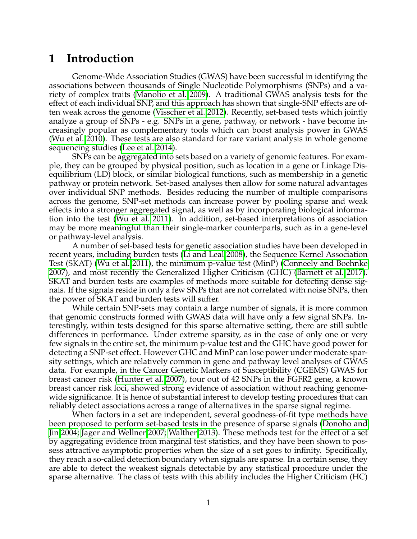## **1 Introduction**

Genome-Wide Association Studies (GWAS) have been successful in identifying the associations between thousands of Single Nucleotide Polymorphisms (SNPs) and a variety of complex traits [\(Manolio et al. 2009\)](#page-21-0). A traditional GWAS analysis tests for the effect of each individual SNP, and this approach has shown that single-SNP effects are often weak across the genome [\(Visscher et al. 2012\)](#page-22-0). Recently, set-based tests which jointly analyze a group of SNPs - e.g. SNPs in a gene, pathway, or network - have become increasingly popular as complementary tools which can boost analysis power in GWAS [\(Wu et al. 2010\)](#page-22-1). These tests are also standard for rare variant analysis in whole genome sequencing studies [\(Lee et al. 2014\)](#page-21-1).

SNPs can be aggregated into sets based on a variety of genomic features. For example, they can be grouped by physical position, such as location in a gene or Linkage Disequilibrium (LD) block, or similar biological functions, such as membership in a genetic pathway or protein network. Set-based analyses then allow for some natural advantages over individual SNP methods. Besides reducing the number of multiple comparisons across the genome, SNP-set methods can increase power by pooling sparse and weak effects into a stronger aggregated signal, as well as by incorporating biological information into the test [\(Wu et al. 2011\)](#page-22-2). In addition, set-based interpretations of association may be more meaningful than their single-marker counterparts, such as in a gene-level or pathway-level analysis.

A number of set-based tests for genetic association studies have been developed in recent years, including burden tests [\(Li and Leal 2008\)](#page-21-2), the Sequence Kernel Association Test (SKAT) [\(Wu et al. 2011\)](#page-22-2), the minimum p-value test (MinP) [\(Conneely and Boehnke](#page-21-3) [2007\)](#page-21-3), and most recently the Generalized Higher Criticism (GHC) [\(Barnett et al. 2017\)](#page-20-0). SKAT and burden tests are examples of methods more suitable for detecting dense signals. If the signals reside in only a few SNPs that are not correlated with noise SNPs, then the power of SKAT and burden tests will suffer.

While certain SNP-sets may contain a large number of signals, it is more common that genomic constructs formed with GWAS data will have only a few signal SNPs. Interestingly, within tests designed for this sparse alternative setting, there are still subtle differences in performance. Under extreme sparsity, as in the case of only one or very few signals in the entire set, the minimum p-value test and the GHC have good power for detecting a SNP-set effect. However GHC and MinP can lose power under moderate sparsity settings, which are relatively common in gene and pathway level analyses of GWAS data. For example, in the Cancer Genetic Markers of Susceptibility (CGEMS) GWAS for breast cancer risk [\(Hunter et al. 2007\)](#page-21-4), four out of 42 SNPs in the FGFR2 gene, a known breast cancer risk loci, showed strong evidence of association without reaching genomewide significance. It is hence of substantial interest to develop testing procedures that can reliably detect associations across a range of alternatives in the sparse signal regime.

When factors in a set are independent, several goodness-of-fit type methods have been proposed to perform set-based tests in the presence of sparse signals [\(Donoho and](#page-21-5) [Jin 2004;](#page-21-5) [Jager and Wellner 2007;](#page-21-6) [Walther 2013\)](#page-22-3). These methods test for the effect of a set by aggregating evidence from marginal test statistics, and they have been shown to possess attractive asymptotic properties when the size of a set goes to infinity. Specifically, they reach a so-called detection boundary when signals are sparse. In a certain sense, they are able to detect the weakest signals detectable by any statistical procedure under the sparse alternative. The class of tests with this ability includes the Higher Criticism (HC)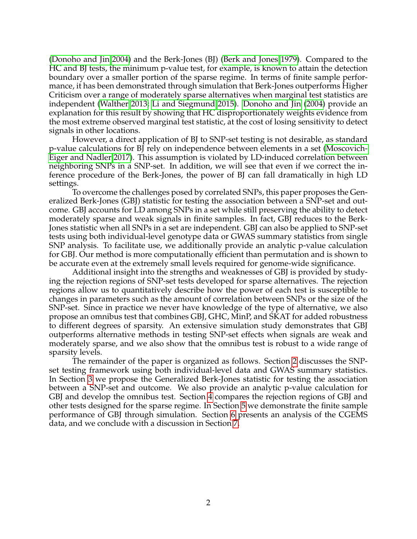[\(Donoho and Jin 2004\)](#page-21-5) and the Berk-Jones (BJ) [\(Berk and Jones 1979\)](#page-20-1). Compared to the HC and BJ tests, the minimum p-value test, for example, is known to attain the detection boundary over a smaller portion of the sparse regime. In terms of finite sample performance, it has been demonstrated through simulation that Berk-Jones outperforms Higher Criticism over a range of moderately sparse alternatives when marginal test statistics are independent [\(Walther 2013;](#page-22-3) [Li and Siegmund 2015\)](#page-21-7). [Donoho and Jin](#page-21-5) [\(2004\)](#page-21-5) provide an explanation for this result by showing that HC disproportionately weights evidence from the most extreme observed marginal test statistic, at the cost of losing sensitivity to detect signals in other locations.

However, a direct application of BJ to SNP-set testing is not desirable, as standard p-value calculations for BJ rely on independence between elements in a set [\(Moscovich-](#page-21-8)[Eiger and Nadler 2017\)](#page-21-8). This assumption is violated by LD-induced correlation between neighboring SNPs in a SNP-set. In addition, we will see that even if we correct the inference procedure of the Berk-Jones, the power of BJ can fall dramatically in high LD settings.

To overcome the challenges posed by correlated SNPs, this paper proposes the Generalized Berk-Jones (GBJ) statistic for testing the association between a SNP-set and outcome. GBJ accounts for LD among SNPs in a set while still preserving the ability to detect moderately sparse and weak signals in finite samples. In fact, GBJ reduces to the Berk-Jones statistic when all SNPs in a set are independent. GBJ can also be applied to SNP-set tests using both individual-level genotype data or GWAS summary statistics from single SNP analysis. To facilitate use, we additionally provide an analytic p-value calculation for GBJ. Our method is more computationally efficient than permutation and is shown to be accurate even at the extremely small levels required for genome-wide significance.

Additional insight into the strengths and weaknesses of GBJ is provided by studying the rejection regions of SNP-set tests developed for sparse alternatives. The rejection regions allow us to quantitatively describe how the power of each test is susceptible to changes in parameters such as the amount of correlation between SNPs or the size of the SNP-set. Since in practice we never have knowledge of the type of alternative, we also propose an omnibus test that combines GBJ, GHC, MinP, and SKAT for added robustness to different degrees of sparsity. An extensive simulation study demonstrates that GBJ outperforms alternative methods in testing SNP-set effects when signals are weak and moderately sparse, and we also show that the omnibus test is robust to a wide range of sparsity levels.

The remainder of the paper is organized as follows. Section [2](#page-3-0) discusses the SNPset testing framework using both individual-level data and GWAS summary statistics. In Section [3](#page-4-0) we propose the Generalized Berk-Jones statistic for testing the association between a SNP-set and outcome. We also provide an analytic p-value calculation for GBJ and develop the omnibus test. Section [4](#page-10-0) compares the rejection regions of GBJ and other tests designed for the sparse regime. In Section [5](#page-13-0) we demonstrate the finite sample performance of GBJ through simulation. Section [6](#page-17-0) presents an analysis of the CGEMS data, and we conclude with a discussion in Section [7.](#page-19-0)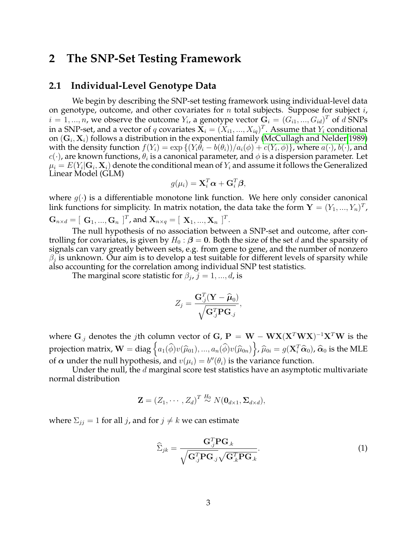## <span id="page-3-0"></span>**2 The SNP-Set Testing Framework**

### <span id="page-3-2"></span>**2.1 Individual-Level Genotype Data**

We begin by describing the SNP-set testing framework using individual-level data on genotype, outcome, and other covariates for  $n$  total subjects. Suppose for subject  $i$ ,  $i = 1, ..., n$ , we observe the outcome  $Y_i$ , a genotype vector  $\mathbf{G}_i = (G_{i1}, ..., G_{id})^T$  of  $d$  SNPs in a SNP-set, and a vector of  $q$  covariates  $\mathbf{X}_i = (X_{i1},...,X_{iq})^T$ . Assume that  $Y_i$  conditional on  $(\mathbf{G}_i, \mathbf{X}_i)$  follows a distribution in the exponential family [\(McCullagh and Nelder 1989\)](#page-21-9) with the density function  $f(Y_i) = \exp\left\{(Y_i\theta_i - b(\theta_i))/a_i(\phi) + c(Y_i, \phi)\right\}$ , where  $a(\cdot)$ ,  $b(\cdot)$ , and  $c(\cdot)$ , are known functions,  $\theta_i$  is a canonical parameter, and  $\phi$  is a dispersion parameter. Let  $\mu_i = E(Y_i | \mathbf{G}_i, \mathbf{X}_i)$  denote the conditional mean of  $Y_i$  and assume it follows the Generalized Linear Model (GLM)

$$
g(\mu_i) = \mathbf{X}_i^T \boldsymbol{\alpha} + \mathbf{G}_i^T \boldsymbol{\beta},
$$

where  $g(\cdot)$  is a differentiable monotone link function. We here only consider canonical link functions for simplicity. In matrix notation, the data take the form  $\mathbf{Y}=(Y_1,...,Y_n)^T$ ,

$$
\mathbf{G}_{n \times d} = [\mathbf{G}_1, ..., \mathbf{G}_n]^T, \text{ and } \mathbf{X}_{n \times q} = [\mathbf{X}_1, ..., \mathbf{X}_n]^T.
$$

The null hypothesis of no association between a SNP-set and outcome, after controlling for covariates, is given by  $H_0$  :  $\beta = 0$ . Both the size of the set d and the sparsity of signals can vary greatly between sets, e.g. from gene to gene, and the number of nonzero  $\beta_j$  is unknown. Our aim is to develop a test suitable for different levels of sparsity while also accounting for the correlation among individual SNP test statistics.

The marginal score statistic for  $\beta_j$ ,  $j = 1, ..., d$ , is

$$
Z_j = \frac{\mathbf{G}_{.j}^T(\mathbf{Y} - \widehat{\boldsymbol{\mu}}_0)}{\sqrt{\mathbf{G}_{.j}^T \mathbf{P} \mathbf{G}_{.j}}},
$$

where  $\mathbf{G}_{.j}$  denotes the  $j$ th column vector of  $\mathbf{G}% _{j}$   $\mathbf{P}=\mathbf{W}-\mathbf{W}\mathbf{X}(\mathbf{X}^{T}\mathbf{W}\mathbf{X})^{-1}\mathbf{X}^{T}\mathbf{W}$  is the projection matrix,  $\mathbf{W} = \text{diag}\left\{a_1(\widehat{\phi})v(\widehat{\mu}_{01}), ..., a_n(\widehat{\phi})v(\widehat{\mu}_{0n})\right\}, \widehat{\mu}_{0i} = g(\mathbf{X}_i^T\widehat{\alpha}_0), \widehat{\alpha}_0$  is the MLE of  $\alpha$  under the null hypothesis, and  $v(\mu_i) = b''(\theta_i)$  is the variance function.

Under the null, the  $d$  marginal score test statistics have an asymptotic multivariate normal distribution

$$
\mathbf{Z} = (Z_1, \cdots, Z_d)^T \stackrel{H_0}{\sim} N(\mathbf{0}_{d \times 1}, \mathbf{\Sigma}_{d \times d}),
$$

where  $\Sigma_{ij} = 1$  for all j, and for  $j \neq k$  we can estimate

<span id="page-3-1"></span>
$$
\widehat{\Sigma}_{jk} = \frac{\mathbf{G}_{.j}^T \mathbf{P} \mathbf{G}_{.k}}{\sqrt{\mathbf{G}_{.j}^T \mathbf{P} \mathbf{G}_{.j}} \sqrt{\mathbf{G}_{.k}^T \mathbf{P} \mathbf{G}_{.k}}}.
$$
\n(1)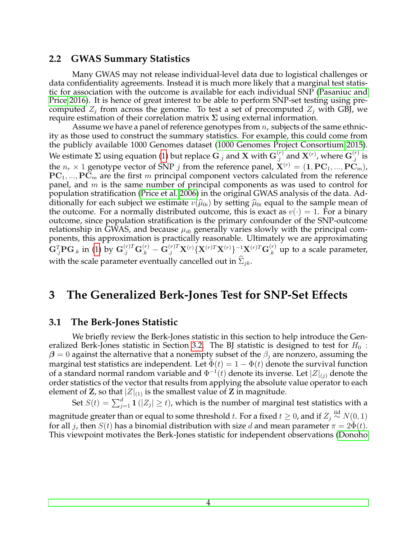## **2.2 GWAS Summary Statistics**

Many GWAS may not release individual-level data due to logistical challenges or data confidentiality agreements. Instead it is much more likely that a marginal test statistic for association with the outcome is available for each individual SNP [\(Pasaniuc and](#page-22-4) [Price 2016\)](#page-22-4). It is hence of great interest to be able to perform SNP-set testing using precomputed  $Z_i$  from across the genome. To test a set of precomputed  $Z_i$  with GBJ, we require estimation of their correlation matrix  $\Sigma$  using external information.

Assume we have a panel of reference genotypes from  $n_r$  subjects of the same ethnicity as those used to construct the summary statistics. For example, this could come from the publicly available 1000 Genomes dataset [\(1000 Genomes Project Consortium 2015\)](#page-20-2). We estimate  $\Sigma$  using equation [\(1\)](#page-3-1) but replace  $\mathbf{G}_{.j}$  and  $\mathbf{X}$  with  $\mathbf{G}_{.j}^{(r)}$  and  $\mathbf{X}^{(r)}$ , where  $\mathbf{G}_{.j}^{(r)}$  is the  $n_r \times 1$  genotype vector of SNP *j* from the reference panel,  $\mathbf{X}^{(r)} = (1, \text{PC}_1, ..., \text{PC}_m)$ ,  $PC_1, ..., PC_m$  are the first m principal component vectors calculated from the reference panel, and  $m$  is the same number of principal components as was used to control for population stratification [\(Price et al. 2006\)](#page-22-5) in the original GWAS analysis of the data. Additionally for each subject we estimate  $v(\hat{\mu}_{0i})$  by setting  $\hat{\mu}_{0i}$  equal to the sample mean of the outcome. For a normally distributed outcome, this is exact as  $v(\cdot) = 1$ . For a binary outcome, since population stratification is the primary confounder of the SNP-outcome relationship in GWAS, and because  $\mu_{i0}$  generally varies slowly with the principal components, this approximation is practically reasonable. Ultimately we are approximating  $\mathbf{G}_{.j}^T\mathbf{P}\mathbf{G}_{.k}$  in [\(1\)](#page-3-1) by  $\mathbf{G}_{.j}^{(r)T}\mathbf{G}_{.k}^{(r)}-\mathbf{G}_{.j}^{(r)T}\mathbf{X}^{(r)}\{\mathbf{X}^{(r)T}\mathbf{X}^{(r)}\}^{-1}\mathbf{X}^{(r)T}\mathbf{G}_{.k}^{(r)}$  up to a scale parameter, with the scale parameter eventually cancelled out in  $\Sigma_{ik}$ .

## <span id="page-4-0"></span>**3 The Generalized Berk-Jones Test for SNP-Set Effects**

### **3.1 The Berk-Jones Statistic**

We briefly review the Berk-Jones statistic in this section to help introduce the Gen-eralized Berk-Jones statistic in Section [3.2.](#page-5-0) The BJ statistic is designed to test for  $H_0$ :  $\beta = 0$  against the alternative that a nonempty subset of the  $\beta_i$  are nonzero, assuming the marginal test statistics are independent. Let  $\Phi(t) = 1 - \Phi(t)$  denote the survival function of a standard normal random variable and  $\Phi^{-1}(t)$  denote its inverse. Let  $|Z|_{(j)}$  denote the order statistics of the vector that results from applying the absolute value operator to each element of **Z**, so that  $|Z|_{(1)}$  is the smallest value of **Z** in magnitude.

Set  $S(t) = \sum_{j=1}^d 1 (|Z_j| \ge t)$ , which is the number of marginal test statistics with a

magnitude greater than or equal to some threshold  $t.$  For a fixed  $t\geq 0$ , and if  $Z_j\overset{\mathrm{iid}}{\thicksim} N(0,1)$ for all *j*, then  $S(t)$  has a binomial distribution with size d and mean parameter  $\pi = 2\Phi(t)$ . This viewpoint motivates the Berk-Jones statistic for independent observations [\(Donoho](#page-21-5)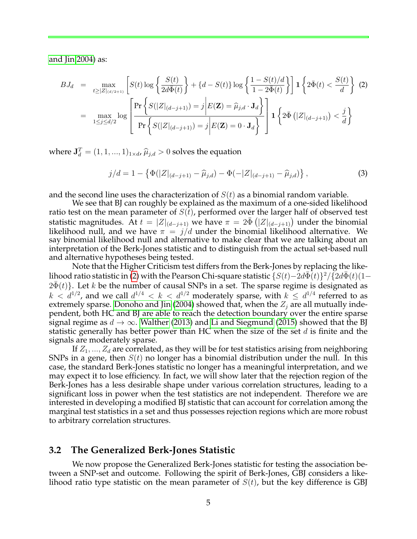[and Jin 2004\)](#page-21-5) as:

<span id="page-5-1"></span>
$$
BJ_d = \max_{t \ge |Z|_{(d/2+1)}} \left[ S(t) \log \left\{ \frac{S(t)}{2d\bar{\Phi}(t)} \right\} + \{d - S(t)\} \log \left\{ \frac{1 - S(t)/d}{1 - 2\bar{\Phi}(t)} \right\} \right] \mathbf{1} \left\{ 2\bar{\Phi}(t) < \frac{S(t)}{d} \right\} \tag{2}
$$
\n
$$
= \max_{1 \le j \le d/2} \log \left[ \frac{\Pr \left\{ S(|Z|_{(d-j+1)}) = j \middle| E(\mathbf{Z}) = \hat{\mu}_{j,d} \cdot \mathbf{J}_d \right\}}{\Pr \left\{ S(|Z|_{(d-j+1)}) = j \middle| E(\mathbf{Z}) = 0 \cdot \mathbf{J}_d \right\}} \right] \mathbf{1} \left\{ 2\bar{\Phi} \left( |Z|_{(d-j+1)} \right) < \frac{j}{d} \right\}
$$

where  $\mathbf{J}_d^T = (1, 1, ..., 1)_{1 \times d}$ ,  $\widehat{\mu}_{j,d} > 0$  solves the equation

$$
j/d = 1 - \left\{ \Phi(|Z|_{(d-j+1)} - \widehat{\mu}_{j,d}) - \Phi(-|Z|_{(d-j+1)} - \widehat{\mu}_{j,d}) \right\},\tag{3}
$$

and the second line uses the characterization of  $S(t)$  as a binomial random variable.

We see that BJ can roughly be explained as the maximum of a one-sided likelihood ratio test on the mean parameter of  $S(t)$ , performed over the larger half of observed test statistic magnitudes. At  $t = |Z|_{(d-j+1)}$  we have  $\pi = 2\bar{\Phi}(|Z|_{(d-j+1)})$  under the binomial likelihood null, and we have  $\pi = j/d$  under the binomial likelihood alternative. We say binomial likelihood null and alternative to make clear that we are talking about an interpretation of the Berk-Jones statistic and to distinguish from the actual set-based null and alternative hypotheses being tested.

Note that the Higher Criticism test differs from the Berk-Jones by replacing the like-lihood ratio statistic in [\(2\)](#page-5-1) with the Pearson Chi-square statistic  $\{S(t)-2d\bar{\Phi}(t)\}^2/\{2d\bar{\Phi}(t)(1-t)\}^2$  $2\bar{\Phi}(t)$ . Let k be the number of causal SNPs in a set. The sparse regime is designated as  $k \, < \, d^{1/2}$ , and we call  $d^{1/4} \, < \, k \, < \, d^{1/2}$  moderately sparse, with  $k \, \leq \, d^{1/4}$  referred to as extremely sparse. [Donoho and Jin](#page-21-5) [\(2004\)](#page-21-5) showed that, when the  $Z_i$  are all mutually independent, both HC and BJ are able to reach the detection boundary over the entire sparse signal regime as  $d \to \infty$ . [Walther](#page-22-3) [\(2013\)](#page-22-3) and [Li and Siegmund](#page-21-7) [\(2015\)](#page-21-7) showed that the BJ statistic generally has better power than HC when the size of the set  $d$  is finite and the signals are moderately sparse.

If  $Z_1, ..., Z_d$  are correlated, as they will be for test statistics arising from neighboring SNPs in a gene, then  $S(t)$  no longer has a binomial distribution under the null. In this case, the standard Berk-Jones statistic no longer has a meaningful interpretation, and we may expect it to lose efficiency. In fact, we will show later that the rejection region of the Berk-Jones has a less desirable shape under various correlation structures, leading to a significant loss in power when the test statistics are not independent. Therefore we are interested in developing a modified BJ statistic that can account for correlation among the marginal test statistics in a set and thus possesses rejection regions which are more robust to arbitrary correlation structures.

### <span id="page-5-0"></span>**3.2 The Generalized Berk-Jones Statistic**

We now propose the Generalized Berk-Jones statistic for testing the association between a SNP-set and outcome. Following the spirit of Berk-Jones, GBJ considers a likelihood ratio type statistic on the mean parameter of  $S(t)$ , but the key difference is GBJ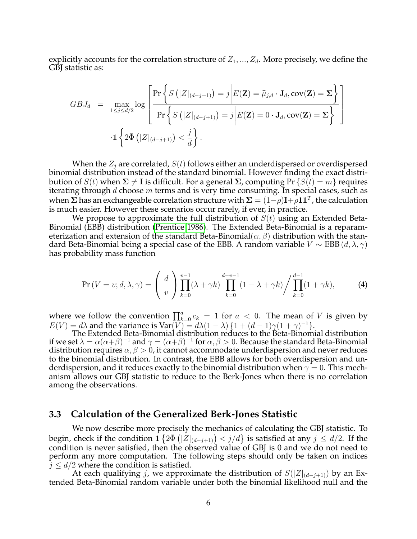explicitly accounts for the correlation structure of  $Z_1, ..., Z_d$ . More precisely, we define the GBI statistic as:

$$
GBJ_d = \max_{1 \leq j \leq d/2} \log \left[ \frac{\Pr \left\{ S \left( |Z|_{(d-j+1)} \right) = j \middle| E(\mathbf{Z}) = \widehat{\mu}_{j,d} \cdot \mathbf{J}_d, \text{cov}(\mathbf{Z}) = \Sigma \right\}}{\Pr \left\{ S \left( |Z|_{(d-j+1)} \right) = j \middle| E(\mathbf{Z}) = 0 \cdot \mathbf{J}_d, \text{cov}(\mathbf{Z}) = \Sigma \right\}} \right]
$$
  
-1 $\left\{ 2\overline{\Phi} \left( |Z|_{(d-j+1)} \right) < \frac{j}{d} \right\}.$ 

When the  $Z_i$  are correlated,  $S(t)$  follows either an underdispersed or overdispersed binomial distribution instead of the standard binomial. However finding the exact distribution of  $S(t)$  when  $\Sigma \neq I$  is difficult. For a general  $\Sigma$ , computing Pr  $\{S(t) = m\}$  requires iterating through  $d$  choose  $m$  terms and is very time consuming. In special cases, such as when  $\Sigma$  has an exchangeable correlation structure with  $\Sigma = (1\!-\!\rho)\mathbf{I}\!+\!\rho\mathbf{1}\mathbf{1}^T$ , the calculation is much easier. However these scenarios occur rarely, if ever, in practice.

We propose to approximate the full distribution of  $S(t)$  using an Extended Beta-Binomial (EBB) distribution [\(Prentice 1986\)](#page-22-6). The Extended Beta-Binomial is a reparameterization and extension of the standard Beta-Binomial( $\alpha$ ,  $\beta$ ) distribution with the standard Beta-Binomial being a special case of the EBB. A random variable  $V \sim EBB(d, \lambda, \gamma)$ has probability mass function

$$
\Pr(V = v; d, \lambda, \gamma) = \left(\begin{array}{c} d \\ v \end{array}\right) \prod_{k=0}^{v-1} (\lambda + \gamma k) \prod_{k=0}^{d-v-1} (1 - \lambda + \gamma k) \Bigg/ \prod_{k=0}^{d-1} (1 + \gamma k),\tag{4}
$$

where we follow the convention  $\prod_{k=0}^a c_k = 1$  for  $a < 0$ . The mean of V is given by  $E(V) = d\lambda$  and the variance is Var(V) =  $d\lambda(1-\lambda)\{1+(d-1)\gamma(1+\gamma)^{-1}\}.$ 

The Extended Beta-Binomial distribution reduces to the Beta-Binomial distribution if we set  $\lambda=\alpha(\alpha+\beta)^{-1}$  and  $\gamma=(\alpha+\beta)^{-1}$  for  $\alpha,\beta>0.$  Because the standard Beta-Binomial distribution requires  $\alpha, \beta > 0$ , it cannot accommodate underdispersion and never reduces to the binomial distribution. In contrast, the EBB allows for both overdispersion and underdispersion, and it reduces exactly to the binomial distribution when  $\gamma = 0$ . This mechanism allows our GBJ statistic to reduce to the Berk-Jones when there is no correlation among the observations.

### <span id="page-6-0"></span>**3.3 Calculation of the Generalized Berk-Jones Statistic**

We now describe more precisely the mechanics of calculating the GBJ statistic. To begin, check if the condition  $1 \{ 2 \bar{ \Phi } \left( |Z|_{(d-j+1)} \right) < j/d \}$  is satisfied at any  $j \leq d/2$ . If the condition is never satisfied, then the observed value of GBJ is 0 and we do not need to perform any more computation. The following steps should only be taken on indices  $j \leq d/2$  where the condition is satisfied.

At each qualifying j, we approximate the distribution of  $S(|Z|_{(d-j+1)})$  by an Extended Beta-Binomial random variable under both the binomial likelihood null and the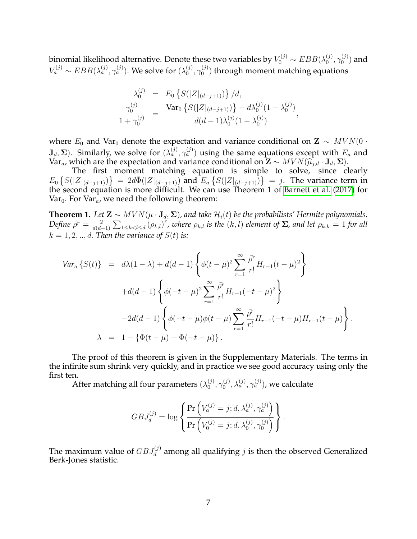binomial likelihood alternative. Denote these two variables by  $V^{(j)}_0\sim EBB(\lambda^{(j)}_0$  $\overset{(j)}{0}, \gamma^{(j)}_0$  $_0^{(J)}$ ) and  $V_a^{(j)} \sim EBB(\lambda_a^{(j)},\gamma_a^{(j)})$ . We solve for  $(\lambda_0^{(j)})$  $\overset{(j)}{0}, \gamma^{(j)}_0$  $\binom{10}{0}$  through moment matching equations

$$
\lambda_0^{(j)} = E_0 \left\{ S(|Z|_{(d-j+1)}) \right\} / d,
$$
  

$$
\frac{\gamma_0^{(j)}}{1 + \gamma_0^{(j)}} = \frac{\text{Var}_0 \left\{ S(|Z|_{(d-j+1)}) \right\} - d\lambda_0^{(j)} (1 - \lambda_0^{(j)})}{d(d-1)\lambda_0^{(j)} (1 - \lambda_0^{(j)})},
$$

where  $E_0$  and Var<sub>0</sub> denote the expectation and variance conditional on  $\mathbf{Z} \sim MVN(0 \cdot \mathbf{Z})$  $({\bf J}_d, \Sigma)$ . Similarly, we solve for  $(\lambda_a^{(j)}, \gamma_a^{(j)})$  using the same equations except with  $E_a$  and Var<sub>a</sub>, which are the expectation and variance conditional on  $\mathbf{Z} \sim MVN(\hat{\mu}_{j,d} \cdot \mathbf{J}_d, \Sigma)$ .<br>The first moment matching equation is simple to solve since cl

The first moment matching equation is simple to solve, since clearly  $E_0 \left\{ S(|Z|_{(d-j+1)}) \right\} = 2d\bar{\Phi}(|Z|_{(d-j+1)})$  and  $E_a \left\{ S(|Z|_{(d-j+1)}) \right\} = j$ . The variance term in the second equation is more difficult. We can use Theorem 1 of [Barnett et al.](#page-20-0) [\(2017\)](#page-20-0) for Var<sub>0</sub>. For Var<sub>a</sub>, we need the following theorem:

**Theorem 1.** *Let*  $\mathbf{Z} \sim MVN(\mu \cdot \mathbf{J}_d, \Sigma)$ , and take  $\mathcal{H}_i(t)$  be the probabilists' Hermite polynomials. *Define*  $\bar{\rho}^r = \frac{2}{d(d-r)}$  $\frac{2}{d(d-1)}\sum_{1\leq k, where  $\rho_{k,l}$  is the  $(k,l)$  element of  $\Sigma$ , and let  $\rho_{k,k}=1$  for all$  $k = 1, 2, \ldots, d$ . Then the variance of  $S(t)$  is:

$$
Var_a \{S(t)\} = d\lambda (1 - \lambda) + d(d - 1) \left\{ \phi(t - \mu)^2 \sum_{r=1}^{\infty} \frac{\bar{\rho}^r}{r!} H_{r-1}(t - \mu)^2 \right\} + d(d - 1) \left\{ \phi(-t - \mu)^2 \sum_{r=1}^{\infty} \frac{\bar{\rho}^r}{r!} H_{r-1}(-t - \mu)^2 \right\} - 2d(d - 1) \left\{ \phi(-t - \mu)\phi(t - \mu) \sum_{r=1}^{\infty} \frac{\bar{\rho}^r}{r!} H_{r-1}(-t - \mu) H_{r-1}(t - \mu) \right\}, \lambda = 1 - \left\{ \Phi(t - \mu) - \Phi(-t - \mu) \right\}.
$$

The proof of this theorem is given in the Supplementary Materials. The terms in the infinite sum shrink very quickly, and in practice we see good accuracy using only the first ten.

After matching all four parameters  $(\lambda_0^{(j)})$  $\overset{(j)}{0}, \gamma^{(j)}_0$  $\lambda_{a}^{(j)},\lambda_{a}^{(j)},\gamma_{a}^{(j)})$ , we calculate

$$
GBJ_d^{(j)} = \log \left\{ \frac{\Pr\left(V_a^{(j)} = j; d, \lambda_a^{(j)}, \gamma_a^{(j)}\right)}{\Pr\left(V_0^{(j)} = j; d, \lambda_0^{(j)}, \gamma_0^{(j)}\right)} \right\}.
$$

The maximum value of  $GBJ_d^{(j)}$  among all qualifying  $j$  is then the observed Generalized Berk-Jones statistic.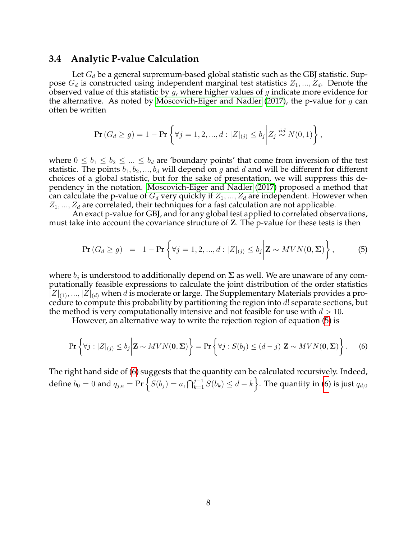## <span id="page-8-2"></span>**3.4 Analytic P-value Calculation**

Let  $G_d$  be a general supremum-based global statistic such as the GBJ statistic. Suppose  $G_d$  is constructed using independent marginal test statistics  $Z_1, ..., Z_d$ . Denote the observed value of this statistic by  $g$ , where higher values of  $g$  indicate more evidence for the alternative. As noted by [Moscovich-Eiger and Nadler](#page-21-8) [\(2017\)](#page-21-8), the p-value for  $g$  can often be written

$$
\Pr(G_d \ge g) = 1 - \Pr\left\{ \forall j = 1, 2, ..., d : |Z|_{(j)} \le b_j \middle| Z_j \stackrel{iid}{\sim} N(0, 1) \right\},\,
$$

where  $0 \le b_1 \le b_2 \le ... \le b_d$  are 'boundary points' that come from inversion of the test statistic. The points  $b_1, b_2, ..., b_d$  will depend on g and d and will be different for different choices of a global statistic, but for the sake of presentation, we will suppress this dependency in the notation. [Moscovich-Eiger and Nadler](#page-21-8) [\(2017\)](#page-21-8) proposed a method that can calculate the p-value of  $G_d$  very quickly if  $Z_1, ..., Z_d$  are independent. However when  $Z_1, ..., Z_d$  are correlated, their techniques for a fast calculation are not applicable.

An exact p-value for GBJ, and for any global test applied to correlated observations, must take into account the covariance structure of Z. The p-value for these tests is then

<span id="page-8-0"></span>
$$
\Pr(G_d \ge g) = 1 - \Pr\left\{ \forall j = 1, 2, ..., d : |Z|_{(j)} \le b_j \middle| \mathbf{Z} \sim MVN(\mathbf{0}, \Sigma) \right\},\tag{5}
$$

where  $b_j$  is understood to additionally depend on  $\boldsymbol{\Sigma}$  as well. We are unaware of any computationally feasible expressions to calculate the joint distribution of the order statistics  $|Z|_{(1)},...,|Z|_{(d)}$  when d is moderate or large. The Supplementary Materials provides a procedure to compute this probability by partitioning the region into d! separate sections, but the method is very computationally intensive and not feasible for use with  $d > 10$ .

However, an alternative way to write the rejection region of equation [\(5\)](#page-8-0) is

<span id="page-8-1"></span>
$$
\Pr\left\{\forall j : |Z|_{(j)} \le b_j \middle| \mathbf{Z} \sim MVN(\mathbf{0}, \boldsymbol{\Sigma})\right\} = \Pr\left\{\forall j : S(b_j) \le (d-j) \middle| \mathbf{Z} \sim MVN(\mathbf{0}, \boldsymbol{\Sigma})\right\}.
$$
 (6)

The right hand side of [\(6\)](#page-8-1) suggests that the quantity can be calculated recursively. Indeed, define  $b_0=0$  and  $q_{j,a}=\Pr\Big\{S(b_j)=a, \bigcap_{k=1}^{j-1}S(b_k)\leq d-k\Big\}.$  The quantity in [\(6\)](#page-8-1) is just  $q_{d,0}$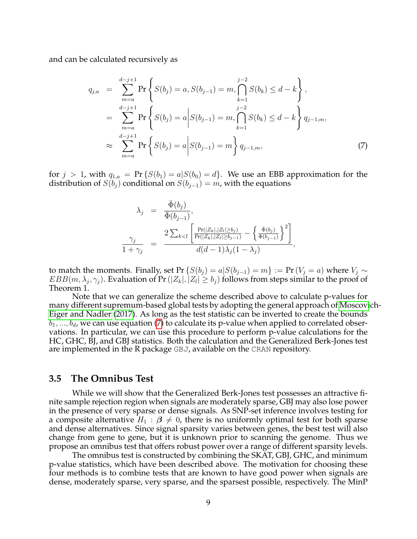and can be calculated recursively as

<span id="page-9-0"></span>
$$
q_{j,a} = \sum_{m=a}^{d-j+1} \Pr\left\{ S(b_j) = a, S(b_{j-1}) = m, \bigcap_{k=1}^{j-2} S(b_k) \le d - k \right\},
$$
  
\n
$$
= \sum_{m=a}^{d-j+1} \Pr\left\{ S(b_j) = a \middle| S(b_{j-1}) = m, \bigcap_{k=1}^{j-2} S(b_k) \le d - k \right\} q_{j-1,m},
$$
  
\n
$$
\approx \sum_{m=a}^{d-j+1} \Pr\left\{ S(b_j) = a \middle| S(b_{j-1}) = m \right\} q_{j-1,m},
$$
\n(7)

for  $j > 1$ , with  $q_{1,a} = Pr\{S(b_1) = a | S(b_0) = d\}$ . We use an EBB approximation for the distribution of  $S(b_i)$  conditional on  $S(b_{i-1}) = m$ , with the equations

$$
\lambda_j = \frac{\bar{\Phi}(b_j)}{\bar{\Phi}(b_{j-1})},
$$
\n
$$
\frac{\gamma_j}{1 + \gamma_j} = \frac{2 \sum_{k < l} \left[ \frac{\Pr(|Z_k|, |Z_l| \ge b_j)}{\Pr(|Z_k|, |Z_l| \ge b_{j-1})} - \left\{ \frac{\bar{\Phi}(b_j)}{\bar{\Phi}(b_{j-1})} \right\}^2 \right]}{d(d-1)\lambda_j(1-\lambda_j)},
$$

to match the moments. Finally, set Pr { $S(b_j) = a | S(b_{j-1}) = m$ } := Pr ( $V_j = a$ ) where  $V_j \sim$  $EBB(m, \lambda_j, \gamma_j)$ . Evaluation of Pr ( $|Z_k|, |Z_l| \ge b_j$ ) follows from steps similar to the proof of Theorem 1.

Note that we can generalize the scheme described above to calculate p-values for many different supremum-based global tests by adopting the general approach of [Moscovi](#page-21-8)ch-[Eiger and Nadler](#page-21-8) [\(2017\)](#page-21-8). As long as the test statistic can be inverted to create the bounds  $b_1, ..., b_d$ , we can use equation [\(7\)](#page-9-0) to calculate its p-value when applied to correlated observations. In particular, we can use this procedure to perform p-value calculations for the HC, GHC, BJ, and GBJ statistics. Both the calculation and the Generalized Berk-Jones test are implemented in the R package GBJ, available on the CRAN repository.

#### <span id="page-9-1"></span>**3.5 The Omnibus Test**

While we will show that the Generalized Berk-Jones test possesses an attractive finite sample rejection region when signals are moderately sparse, GBJ may also lose power in the presence of very sparse or dense signals. As SNP-set inference involves testing for a composite alternative  $H_1 : \beta \neq 0$ , there is no uniformly optimal test for both sparse and dense alternatives. Since signal sparsity varies between genes, the best test will also change from gene to gene, but it is unknown prior to scanning the genome. Thus we propose an omnibus test that offers robust power over a range of different sparsity levels.

The omnibus test is constructed by combining the SKAT, GBJ, GHC, and minimum p-value statistics, which have been described above. The motivation for choosing these four methods is to combine tests that are known to have good power when signals are dense, moderately sparse, very sparse, and the sparsest possible, respectively. The MinP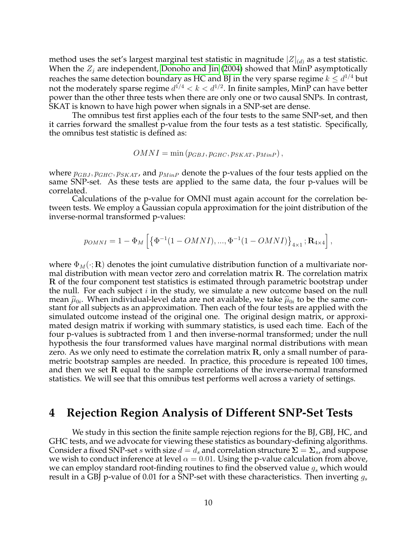method uses the set's largest marginal test statistic in magnitude  $|Z|_{(d)}$  as a test statistic. When the  $Z_i$  are independent, [Donoho and Jin](#page-21-5) [\(2004\)](#page-21-5) showed that MinP asymptotically reaches the same detection boundary as HC and BJ in the very sparse regime  $k \leq d^{1/4}$  but not the moderately sparse regime  $d^{1/4} < k < d^{1/2}.$  In finite samples, MinP can have better power than the other three tests when there are only one or two causal SNPs. In contrast, SKAT is known to have high power when signals in a SNP-set are dense.

The omnibus test first applies each of the four tests to the same SNP-set, and then it carries forward the smallest p-value from the four tests as a test statistic. Specifically, the omnibus test statistic is defined as:

$$
OMNI = \min (p_{GBJ}, p_{GHC}, p_{SKAT}, p_{MinP}),
$$

where  $p_{GBJ}, p_{GHC}, p_{SKAT}$ , and  $p_{MinP}$  denote the p-values of the four tests applied on the same SNP-set. As these tests are applied to the same data, the four p-values will be correlated.

Calculations of the p-value for OMNI must again account for the correlation between tests. We employ a Gaussian copula approximation for the joint distribution of the inverse-normal transformed p-values:

$$
p_{OMNI} = 1 - \Phi_M \left[ \left\{ \Phi^{-1}(1 - OMNI), ..., \Phi^{-1}(1 - OMNI) \right\}_{4 \times 1}; \mathbf{R}_{4 \times 4} \right],
$$

where  $\Phi_M(\cdot;{\bf R})$  denotes the joint cumulative distribution function of a multivariate normal distribution with mean vector zero and correlation matrix R. The correlation matrix R of the four component test statistics is estimated through parametric bootstrap under the null. For each subject  $i$  in the study, we simulate a new outcome based on the null mean  $\widehat{\mu}_{0i}$ . When individual-level data are not available, we take  $\widehat{\mu}_{0i}$  to be the same con-<br>stant for all subjects as an approximation. Then each of the four tests are applied with the stant for all subjects as an approximation. Then each of the four tests are applied with the simulated outcome instead of the original one. The original design matrix, or approximated design matrix if working with summary statistics, is used each time. Each of the four p-values is subtracted from 1 and then inverse-normal transformed; under the null hypothesis the four transformed values have marginal normal distributions with mean zero. As we only need to estimate the correlation matrix R, only a small number of parametric bootstrap samples are needed. In practice, this procedure is repeated 100 times, and then we set R equal to the sample correlations of the inverse-normal transformed statistics. We will see that this omnibus test performs well across a variety of settings.

## <span id="page-10-0"></span>**4 Rejection Region Analysis of Different SNP-Set Tests**

We study in this section the finite sample rejection regions for the BJ, GBJ, HC, and GHC tests, and we advocate for viewing these statistics as boundary-defining algorithms. Consider a fixed SNP-set s with size  $d = d_s$  and correlation structure  $\Sigma = \Sigma_s$ , and suppose we wish to conduct inference at level  $\alpha = 0.01$ . Using the p-value calculation from above, we can employ standard root-finding routines to find the observed value  $g_s$  which would result in a GBJ p-value of 0.01 for a SNP-set with these characteristics. Then inverting  $g_s$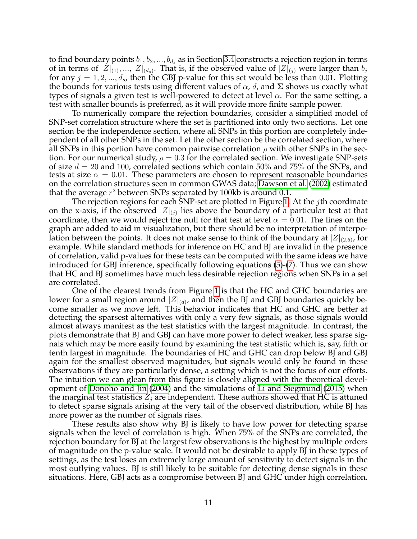to find boundary points  $b_1, b_2, ..., b_{d_s}$  as in Section [3.4](#page-8-2) constructs a rejection region in terms of in terms of  $|Z|_{(1)},...,|Z|_{(d_s)}$ . That is, if the observed value of  $|Z|_{(j)}$  were larger than  $b_j$ for any  $j = 1, 2, ..., d_s$ , then the GBJ p-value for this set would be less than 0.01. Plotting the bounds for various tests using different values of  $\alpha$ , d, and  $\Sigma$  shows us exactly what types of signals a given test is well-powered to detect at level  $\alpha$ . For the same setting, a test with smaller bounds is preferred, as it will provide more finite sample power.

To numerically compare the rejection boundaries, consider a simplified model of SNP-set correlation structure where the set is partitioned into only two sections. Let one section be the independence section, where all SNPs in this portion are completely independent of all other SNPs in the set. Let the other section be the correlated section, where all SNPs in this portion have common pairwise correlation  $\rho$  with other SNPs in the section. For our numerical study,  $\rho = 0.3$  for the correlated section. We investigate SNP-sets of size  $d = 20$  and 100, correlated sections which contain 50% and 75% of the SNPs, and tests at size  $\alpha = 0.01$ . These parameters are chosen to represent reasonable boundaries on the correlation structures seen in common GWAS data; [Dawson et al.](#page-21-10) [\(2002\)](#page-21-10) estimated that the average  $r^2$  between SNPs separated by 100kb is around 0.1.

The rejection regions for each SNP-set are plotted in Figure [1.](#page-12-0) At the  $j$ th coordinate on the x-axis, if the observed  $|Z|_{(j)}$  lies above the boundary of a particular test at that coordinate, then we would reject the null for that test at level  $\alpha = 0.01$ . The lines on the graph are added to aid in visualization, but there should be no interpretation of interpolation between the points. It does not make sense to think of the boundary at  $|Z|_{(2.5)}$ , for example. While standard methods for inference on HC and BJ are invalid in the presence of correlation, valid p-values for these tests can be computed with the same ideas we have introduced for GBJ inference, specifically following equations [\(5\)](#page-8-0)-[\(7\)](#page-9-0). Thus we can show that HC and BJ sometimes have much less desirable rejection regions when SNPs in a set are correlated.

One of the clearest trends from Figure [1](#page-12-0) is that the HC and GHC boundaries are lower for a small region around  $|Z|_{(d)}$ , and then the BJ and GBJ boundaries quickly become smaller as we move left. This behavior indicates that HC and GHC are better at detecting the sparsest alternatives with only a very few signals, as those signals would almost always manifest as the test statistics with the largest magnitude. In contrast, the plots demonstrate that BJ and GBJ can have more power to detect weaker, less sparse signals which may be more easily found by examining the test statistic which is, say, fifth or tenth largest in magnitude. The boundaries of HC and GHC can drop below BJ and GBJ again for the smallest observed magnitudes, but signals would only be found in these observations if they are particularly dense, a setting which is not the focus of our efforts. The intuition we can glean from this figure is closely aligned with the theoretical development of [Donoho and Jin](#page-21-5) [\(2004\)](#page-21-5) and the simulations of [Li and Siegmund](#page-21-7) [\(2015\)](#page-21-7) when the marginal test statistics  $Z_i$  are independent. These authors showed that HC is attuned to detect sparse signals arising at the very tail of the observed distribution, while BJ has more power as the number of signals rises.

These results also show why BJ is likely to have low power for detecting sparse signals when the level of correlation is high. When 75% of the SNPs are correlated, the rejection boundary for BJ at the largest few observations is the highest by multiple orders of magnitude on the p-value scale. It would not be desirable to apply BJ in these types of settings, as the test loses an extremely large amount of sensitivity to detect signals in the most outlying values. BJ is still likely to be suitable for detecting dense signals in these situations. Here, GBJ acts as a compromise between BJ and GHC under high correlation.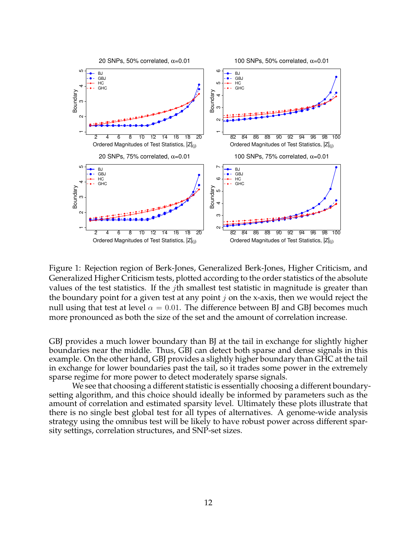

<span id="page-12-0"></span>Figure 1: Rejection region of Berk-Jones, Generalized Berk-Jones, Higher Criticism, and Generalized Higher Criticism tests, plotted according to the order statistics of the absolute values of the test statistics. If the *j*th smallest test statistic in magnitude is greater than the boundary point for a given test at any point  $j$  on the x-axis, then we would reject the null using that test at level  $\alpha = 0.01$ . The difference between BJ and GBJ becomes much more pronounced as both the size of the set and the amount of correlation increase.

GBJ provides a much lower boundary than BJ at the tail in exchange for slightly higher boundaries near the middle. Thus, GBJ can detect both sparse and dense signals in this example. On the other hand, GBJ provides a slightly higher boundary than GHC at the tail in exchange for lower boundaries past the tail, so it trades some power in the extremely sparse regime for more power to detect moderately sparse signals.

We see that choosing a different statistic is essentially choosing a different boundarysetting algorithm, and this choice should ideally be informed by parameters such as the amount of correlation and estimated sparsity level. Ultimately these plots illustrate that there is no single best global test for all types of alternatives. A genome-wide analysis strategy using the omnibus test will be likely to have robust power across different sparsity settings, correlation structures, and SNP-set sizes.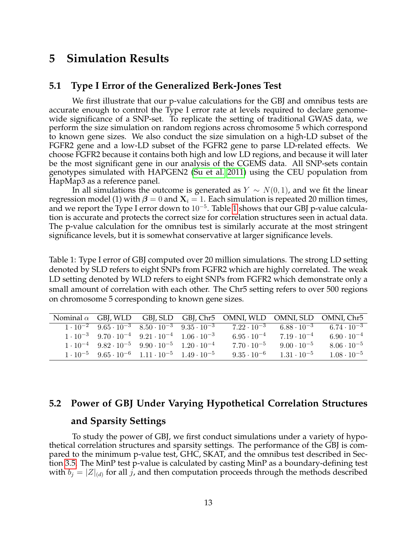# <span id="page-13-0"></span>**5 Simulation Results**

## **5.1 Type I Error of the Generalized Berk-Jones Test**

We first illustrate that our p-value calculations for the GBJ and omnibus tests are accurate enough to control the Type I error rate at levels required to declare genomewide significance of a SNP-set. To replicate the setting of traditional GWAS data, we perform the size simulation on random regions across chromosome 5 which correspond to known gene sizes. We also conduct the size simulation on a high-LD subset of the FGFR2 gene and a low-LD subset of the FGFR2 gene to parse LD-related effects. We choose FGFR2 because it contains both high and low LD regions, and because it will later be the most significant gene in our analysis of the CGEMS data. All SNP-sets contain genotypes simulated with HAPGEN2 [\(Su et al. 2011\)](#page-22-7) using the CEU population from HapMap3 as a reference panel.

In all simulations the outcome is generated as  $Y \sim N(0, 1)$ , and we fit the linear regression model (1) with  $\beta = 0$  and  $X_i = 1$ . Each simulation is repeated 20 million times, and we report the Type I error down to  $10^{-5}$ . Table [1](#page-13-1) shows that our GBJ p-value calculation is accurate and protects the correct size for correlation structures seen in actual data. The p-value calculation for the omnibus test is similarly accurate at the most stringent significance levels, but it is somewhat conservative at larger significance levels.

<span id="page-13-1"></span>Table 1: Type I error of GBJ computed over 20 million simulations. The strong LD setting denoted by SLD refers to eight SNPs from FGFR2 which are highly correlated. The weak LD setting denoted by WLD refers to eight SNPs from FGFR2 which demonstrate only a small amount of correlation with each other. The Chr5 setting refers to over 500 regions on chromosome 5 corresponding to known gene sizes.

|                                                                                  |  | Nominal $\alpha$ GBJ, WLD GBJ, SLD GBJ, Chr5 OMNI, WLD OMNI, SLD OMNI, Chr5 |                                 |                      |
|----------------------------------------------------------------------------------|--|-----------------------------------------------------------------------------|---------------------------------|----------------------|
| $1 \cdot 10^{-2}$ $9.65 \cdot 10^{-3}$ $8.50 \cdot 10^{-3}$ $9.35 \cdot 10^{-3}$ |  | $7.22 \cdot 10^{-3}$                                                        | $6.88 \cdot \overline{10^{-3}}$ | $6.74 \cdot 10^{-3}$ |
| $1 \cdot 10^{-3}$ $9.70 \cdot 10^{-4}$ $9.21 \cdot 10^{-4}$ $1.06 \cdot 10^{-3}$ |  | $6.95 \cdot 10^{-4}$                                                        | $7.19 \cdot 10^{-4}$            | $6.90 \cdot 10^{-4}$ |
| $1 \cdot 10^{-4}$ $9.82 \cdot 10^{-5}$ $9.90 \cdot 10^{-5}$ $1.20 \cdot 10^{-4}$ |  | $7.70 \cdot 10^{-5}$                                                        | $9.00 \cdot 10^{-5}$            | $8.06 \cdot 10^{-5}$ |
| $1 \cdot 10^{-5}$ $9.65 \cdot 10^{-6}$ $1.11 \cdot 10^{-5}$ $1.49 \cdot 10^{-5}$ |  | $9.35 \cdot 10^{-6}$                                                        | $1.31 \cdot 10^{-5}$            | $1.08 \cdot 10^{-5}$ |

# **5.2 Power of GBJ Under Varying Hypothetical Correlation Structures**

## **and Sparsity Settings**

To study the power of GBJ, we first conduct simulations under a variety of hypothetical correlation structures and sparsity settings. The performance of the GBJ is compared to the minimum p-value test, GHC, SKAT, and the omnibus test described in Section [3.5.](#page-9-1) The MinP test p-value is calculated by casting MinP as a boundary-defining test with  $b_j = |Z|_{(d)}$  for all j, and then computation proceeds through the methods described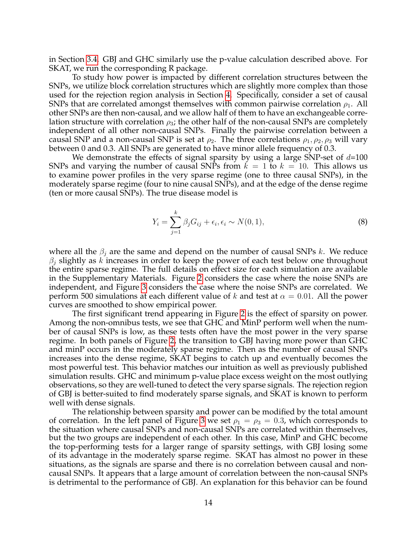in Section [3.4.](#page-8-2) GBJ and GHC similarly use the p-value calculation described above. For SKAT, we run the corresponding R package.

To study how power is impacted by different correlation structures between the SNPs, we utilize block correlation structures which are slightly more complex than those used for the rejection region analysis in Section [4.](#page-10-0) Specifically, consider a set of causal SNPs that are correlated amongst themselves with common pairwise correlation  $\rho_1$ . All other SNPs are then non-causal, and we allow half of them to have an exchangeable correlation structure with correlation  $\rho_3$ ; the other half of the non-causal SNPs are completely independent of all other non-causal SNPs. Finally the pairwise correlation between a causal SNP and a non-causal SNP is set at  $\rho_2$ . The three correlations  $\rho_1, \rho_2, \rho_3$  will vary between 0 and 0.3. All SNPs are generated to have minor allele frequency of 0.3.

We demonstrate the effects of signal sparsity by using a large SNP-set of  $d=100$ SNPs and varying the number of causal SNPs from  $k = 1$  to  $k = 10$ . This allows us to examine power profiles in the very sparse regime (one to three causal SNPs), in the moderately sparse regime (four to nine causal SNPs), and at the edge of the dense regime (ten or more causal SNPs). The true disease model is

<span id="page-14-0"></span>
$$
Y_i = \sum_{j=1}^k \beta_j G_{ij} + \epsilon_i, \epsilon_i \sim N(0, 1), \tag{8}
$$

where all the  $\beta_i$  are the same and depend on the number of causal SNPs k. We reduce  $\beta_i$  slightly as k increases in order to keep the power of each test below one throughout the entire sparse regime. The full details on effect size for each simulation are available in the Supplementary Materials. Figure [2](#page-15-0) considers the case where the noise SNPs are independent, and Figure [3](#page-15-1) considers the case where the noise SNPs are correlated. We perform 500 simulations at each different value of k and test at  $\alpha = 0.01$ . All the power curves are smoothed to show empirical power.

The first significant trend appearing in Figure [2](#page-15-0) is the effect of sparsity on power. Among the non-omnibus tests, we see that GHC and MinP perform well when the number of causal SNPs is low, as these tests often have the most power in the very sparse regime. In both panels of Figure [2,](#page-15-0) the transition to GBJ having more power than GHC and minP occurs in the moderately sparse regime. Then as the number of causal SNPs increases into the dense regime, SKAT begins to catch up and eventually becomes the most powerful test. This behavior matches our intuition as well as previously published simulation results. GHC and minimum p-value place excess weight on the most outlying observations, so they are well-tuned to detect the very sparse signals. The rejection region of GBJ is better-suited to find moderately sparse signals, and SKAT is known to perform well with dense signals.

The relationship between sparsity and power can be modified by the total amount of correlation. In the left panel of Figure [3](#page-15-1) we set  $\rho_1 = \rho_3 = 0.3$ , which corresponds to the situation where causal SNPs and non-causal SNPs are correlated within themselves, but the two groups are independent of each other. In this case, MinP and GHC become the top-performing tests for a larger range of sparsity settings, with GBJ losing some of its advantage in the moderately sparse regime. SKAT has almost no power in these situations, as the signals are sparse and there is no correlation between causal and noncausal SNPs. It appears that a large amount of correlation between the non-causal SNPs is detrimental to the performance of GBJ. An explanation for this behavior can be found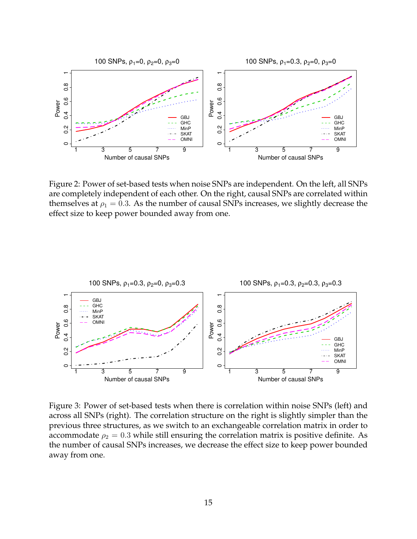

<span id="page-15-0"></span>Figure 2: Power of set-based tests when noise SNPs are independent. On the left, all SNPs are completely independent of each other. On the right, causal SNPs are correlated within themselves at  $\rho_1 = 0.3$ . As the number of causal SNPs increases, we slightly decrease the effect size to keep power bounded away from one.



<span id="page-15-1"></span>Figure 3: Power of set-based tests when there is correlation within noise SNPs (left) and across all SNPs (right). The correlation structure on the right is slightly simpler than the previous three structures, as we switch to an exchangeable correlation matrix in order to accommodate  $\rho_2 = 0.3$  while still ensuring the correlation matrix is positive definite. As the number of causal SNPs increases, we decrease the effect size to keep power bounded away from one.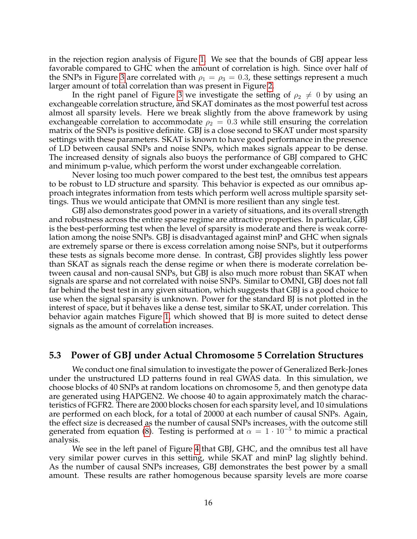in the rejection region analysis of Figure [1.](#page-12-0) We see that the bounds of GBJ appear less favorable compared to GHC when the amount of correlation is high. Since over half of the SNPs in Figure [3](#page-15-1) are correlated with  $\rho_1 = \rho_3 = 0.3$ , these settings represent a much larger amount of total correlation than was present in Figure [2.](#page-15-0)

In the right panel of Figure [3](#page-15-1) we investigate the setting of  $\rho_2 \neq 0$  by using an exchangeable correlation structure, and SKAT dominates as the most powerful test across almost all sparsity levels. Here we break slightly from the above framework by using exchangeable correlation to accommodate  $\rho_2 = 0.3$  while still ensuring the correlation matrix of the SNPs is positive definite. GBJ is a close second to SKAT under most sparsity settings with these parameters. SKAT is known to have good performance in the presence of LD between causal SNPs and noise SNPs, which makes signals appear to be dense. The increased density of signals also buoys the performance of GBJ compared to GHC and minimum p-value, which perform the worst under exchangeable correlation.

Never losing too much power compared to the best test, the omnibus test appears to be robust to LD structure and sparsity. This behavior is expected as our omnibus approach integrates information from tests which perform well across multiple sparsity settings. Thus we would anticipate that OMNI is more resilient than any single test.

GBJ also demonstrates good power in a variety of situations, and its overall strength and robustness across the entire sparse regime are attractive properties. In particular, GBJ is the best-performing test when the level of sparsity is moderate and there is weak correlation among the noise SNPs. GBJ is disadvantaged against minP and GHC when signals are extremely sparse or there is excess correlation among noise SNPs, but it outperforms these tests as signals become more dense. In contrast, GBJ provides slightly less power than SKAT as signals reach the dense regime or when there is moderate correlation between causal and non-causal SNPs, but GBJ is also much more robust than SKAT when signals are sparse and not correlated with noise SNPs. Similar to OMNI, GBJ does not fall far behind the best test in any given situation, which suggests that GBJ is a good choice to use when the signal sparsity is unknown. Power for the standard BJ is not plotted in the interest of space, but it behaves like a dense test, similar to SKAT, under correlation. This behavior again matches Figure [1,](#page-12-0) which showed that BJ is more suited to detect dense signals as the amount of correlation increases.

### **5.3 Power of GBJ under Actual Chromosome 5 Correlation Structures**

We conduct one final simulation to investigate the power of Generalized Berk-Jones under the unstructured LD patterns found in real GWAS data. In this simulation, we choose blocks of 40 SNPs at random locations on chromosome 5, and then genotype data are generated using HAPGEN2. We choose 40 to again approximately match the characteristics of FGFR2. There are 2000 blocks chosen for each sparsity level, and 10 simulations are performed on each block, for a total of 20000 at each number of causal SNPs. Again, the effect size is decreased as the number of causal SNPs increases, with the outcome still generated from equation [\(8\)](#page-14-0). Testing is performed at  $\alpha = 1 \cdot 10^{-5}$  to mimic a practical analysis.

We see in the left panel of Figure [4](#page-17-1) that GBJ, GHC, and the omnibus test all have very similar power curves in this setting, while SKAT and minP lag slightly behind. As the number of causal SNPs increases, GBJ demonstrates the best power by a small amount. These results are rather homogenous because sparsity levels are more coarse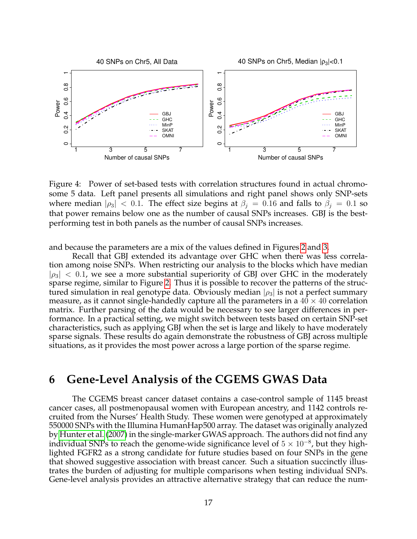

<span id="page-17-1"></span>Figure 4: Power of set-based tests with correlation structures found in actual chromosome 5 data. Left panel presents all simulations and right panel shows only SNP-sets where median  $|\rho_3|$  < 0.1. The effect size begins at  $\beta_j = 0.16$  and falls to  $\beta_j = 0.1$  so that power remains below one as the number of causal SNPs increases. GBJ is the bestperforming test in both panels as the number of causal SNPs increases.

and because the parameters are a mix of the values defined in Figures [2](#page-15-0) and [3.](#page-15-1)

Recall that GBJ extended its advantage over GHC when there was less correlation among noise SNPs. When restricting our analysis to the blocks which have median  $|\rho_3|$  < 0.1, we see a more substantial superiority of GBJ over GHC in the moderately sparse regime, similar to Figure [2.](#page-15-0) Thus it is possible to recover the patterns of the structured simulation in real genotype data. Obviously median  $|\rho_3|$  is not a perfect summary measure, as it cannot single-handedly capture all the parameters in a  $40 \times 40$  correlation matrix. Further parsing of the data would be necessary to see larger differences in performance. In a practical setting, we might switch between tests based on certain SNP-set characteristics, such as applying GBJ when the set is large and likely to have moderately sparse signals. These results do again demonstrate the robustness of GBJ across multiple situations, as it provides the most power across a large portion of the sparse regime.

# <span id="page-17-0"></span>**6 Gene-Level Analysis of the CGEMS GWAS Data**

The CGEMS breast cancer dataset contains a case-control sample of 1145 breast cancer cases, all postmenopausal women with European ancestry, and 1142 controls recruited from the Nurses' Health Study. These women were genotyped at approximately 550000 SNPs with the Illumina HumanHap500 array. The dataset was originally analyzed by [Hunter et al.](#page-21-4) [\(2007\)](#page-21-4) in the single-marker GWAS approach. The authors did not find any individual SNPs to reach the genome-wide significance level of  $5 \times 10^{-8}$ , but they highlighted FGFR2 as a strong candidate for future studies based on four SNPs in the gene that showed suggestive association with breast cancer. Such a situation succinctly illustrates the burden of adjusting for multiple comparisons when testing individual SNPs. Gene-level analysis provides an attractive alternative strategy that can reduce the num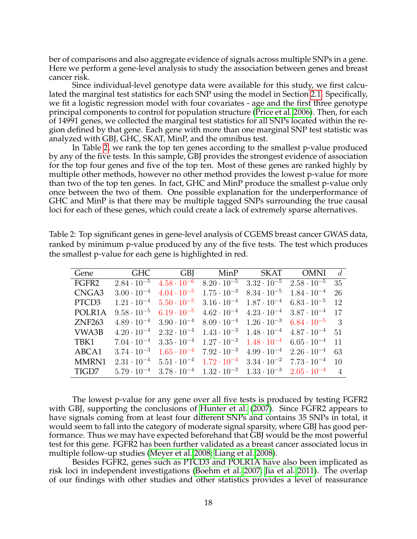ber of comparisons and also aggregate evidence of signals across multiple SNPs in a gene. Here we perform a gene-level analysis to study the association between genes and breast cancer risk.

Since individual-level genotype data were available for this study, we first calculated the marginal test statistics for each SNP using the model in Section [2.1.](#page-3-2) Specifically, we fit a logistic regression model with four covariates - age and the first three genotype principal components to control for population structure [\(Price et al. 2006\)](#page-22-5). Then, for each of 14991 genes, we collected the marginal test statistics for all SNPs located within the region defined by that gene. Each gene with more than one marginal SNP test statistic was analyzed with GBJ, GHC, SKAT, MinP, and the omnibus test.

In Table [2,](#page-18-0) we rank the top ten genes according to the smallest p-value produced by any of the five tests. In this sample, GBJ provides the strongest evidence of association for the top four genes and five of the top ten. Most of these genes are ranked highly by multiple other methods, however no other method provides the lowest p-value for more than two of the top ten genes. In fact, GHC and MinP produce the smallest p-value only once between the two of them. One possible explanation for the underperformance of GHC and MinP is that there may be multiple tagged SNPs surrounding the true causal loci for each of these genes, which could create a lack of extremely sparse alternatives.

| Gene              | GHC                  |                      | GBJ MinP             | SKAT                                                           | OMNI                 | d              |
|-------------------|----------------------|----------------------|----------------------|----------------------------------------------------------------|----------------------|----------------|
| FGFR <sub>2</sub> | $2.84 \cdot 10^{-5}$ | $4.58 \cdot 10^{-6}$ |                      | $8.20 \cdot 10^{-5}$ $3.32 \cdot 10^{-5}$                      | $2.58 \cdot 10^{-5}$ | 35             |
| CNGA3             | $3.00 \cdot 10^{-4}$ | $4.04 \cdot 10^{-5}$ | $1.75 \cdot 10^{-3}$ | $8.34 \cdot 10^{-5}$                                           | $1.84 \cdot 10^{-4}$ | 26             |
| PTCD3             | $1.21 \cdot 10^{-4}$ | $5.50 \cdot 10^{-5}$ |                      | $3.16 \cdot 10^{-4}$ $1.87 \cdot 10^{-4}$ $6.83 \cdot 10^{-5}$ |                      | -12            |
| POLR1A            | $9.58 \cdot 10^{-5}$ | $6.19 \cdot 10^{-5}$ | $4.62 \cdot 10^{-4}$ | $4.23 \cdot 10^{-4}$ $3.87 \cdot 10^{-4}$                      |                      | 17             |
| ZNF263            | $4.89 \cdot 10^{-4}$ | $3.90 \cdot 10^{-4}$ |                      | $8.09 \cdot 10^{-4}$ $1.26 \cdot 10^{-3}$                      | $6.84 \cdot 10^{-5}$ | -3             |
| VWA3B             | $4.20 \cdot 10^{-4}$ | $2.32 \cdot 10^{-4}$ |                      | $1.43 \cdot 10^{-3}$ $1.48 \cdot 10^{-4}$ $4.87 \cdot 10^{-4}$ |                      | - 51           |
| TBK1              | $7.04 \cdot 10^{-4}$ | $3.35 \cdot 10^{-4}$ | $1.27 \cdot 10^{-3}$ | $1.48 \cdot 10^{-4}$ 6.05 $\cdot 10^{-4}$                      |                      | 11             |
| ABCA1             | $3.74 \cdot 10^{-3}$ | $1.65 \cdot 10^{-4}$ | $7.92 \cdot 10^{-3}$ | $4.99 \cdot 10^{-4}$ $2.26 \cdot 10^{-4}$                      |                      | 63             |
| <b>MMRN1</b>      | $2.31 \cdot 10^{-4}$ | $5.51 \cdot 10^{-4}$ |                      | $1.72 \cdot 10^{-4}$ $3.34 \cdot 10^{-2}$ $7.73 \cdot 10^{-4}$ |                      | 1 <sub>0</sub> |
| TIGD7             | $5.79 \cdot 10^{-4}$ | $3.78 \cdot 10^{-4}$ |                      | $1.32 \cdot 10^{-3}$ $1.33 \cdot 10^{-3}$ $2.05 \cdot 10^{-4}$ |                      |                |

<span id="page-18-0"></span>Table 2: Top significant genes in gene-level analysis of CGEMS breast cancer GWAS data, ranked by minimum p-value produced by any of the five tests. The test which produces the smallest p-value for each gene is highlighted in red.

The lowest p-value for any gene over all five tests is produced by testing FGFR2 with GBJ, supporting the conclusions of [Hunter et al.](#page-21-4) [\(2007\)](#page-21-4). Since FGFR2 appears to have signals coming from at least four different SNPs and contains 35 SNPs in total, it would seem to fall into the category of moderate signal sparsity, where GBJ has good performance. Thus we may have expected beforehand that GBJ would be the most powerful test for this gene. FGFR2 has been further validated as a breast cancer associated locus in multiple follow-up studies [\(Meyer et al. 2008;](#page-21-11) [Liang et al. 2008\)](#page-21-12).

Besides FGFR2, genes such as PTCD3 and POLR1A have also been implicated as risk loci in independent investigations [\(Boehm et al. 2007;](#page-20-3) [Jia et al. 2011\)](#page-21-13). The overlap of our findings with other studies and other statistics provides a level of reassurance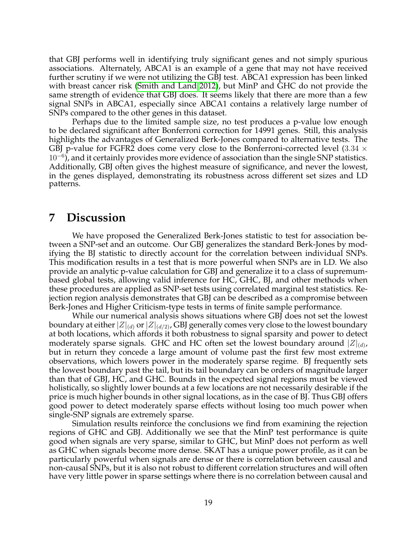that GBJ performs well in identifying truly significant genes and not simply spurious associations. Alternately, ABCA1 is an example of a gene that may not have received further scrutiny if we were not utilizing the GBJ test. ABCA1 expression has been linked with breast cancer risk [\(Smith and Land 2012\)](#page-22-8), but MinP and GHC do not provide the same strength of evidence that GBJ does. It seems likely that there are more than a few signal SNPs in ABCA1, especially since ABCA1 contains a relatively large number of SNPs compared to the other genes in this dataset.

Perhaps due to the limited sample size, no test produces a p-value low enough to be declared significant after Bonferroni correction for 14991 genes. Still, this analysis highlights the advantages of Generalized Berk-Jones compared to alternative tests. The GBJ p-value for FGFR2 does come very close to the Bonferroni-corrected level  $(3.34 \times$ 10<sup>-6</sup>), and it certainly provides more evidence of association than the single SNP statistics. Additionally, GBJ often gives the highest measure of significance, and never the lowest, in the genes displayed, demonstrating its robustness across different set sizes and LD patterns.

## <span id="page-19-0"></span>**7 Discussion**

We have proposed the Generalized Berk-Jones statistic to test for association between a SNP-set and an outcome. Our GBJ generalizes the standard Berk-Jones by modifying the BJ statistic to directly account for the correlation between individual SNPs. This modification results in a test that is more powerful when SNPs are in LD. We also provide an analytic p-value calculation for GBJ and generalize it to a class of supremumbased global tests, allowing valid inference for HC, GHC, BJ, and other methods when these procedures are applied as SNP-set tests using correlated marginal test statistics. Rejection region analysis demonstrates that GBJ can be described as a compromise between Berk-Jones and Higher Criticism-type tests in terms of finite sample performance.

While our numerical analysis shows situations where GBJ does not set the lowest boundary at either  $|Z|_{(d)}$  or  $|Z|_{(d/2)}$ , GBJ generally comes very close to the lowest boundary at both locations, which affords it both robustness to signal sparsity and power to detect moderately sparse signals. GHC and HC often set the lowest boundary around  $|Z|_{(d)}$ , but in return they concede a large amount of volume past the first few most extreme observations, which lowers power in the moderately sparse regime. BJ frequently sets the lowest boundary past the tail, but its tail boundary can be orders of magnitude larger than that of GBJ, HC, and GHC. Bounds in the expected signal regions must be viewed holistically, so slightly lower bounds at a few locations are not necessarily desirable if the price is much higher bounds in other signal locations, as in the case of BJ. Thus GBJ offers good power to detect moderately sparse effects without losing too much power when single-SNP signals are extremely sparse.

Simulation results reinforce the conclusions we find from examining the rejection regions of GHC and GBJ. Additionally we see that the MinP test performance is quite good when signals are very sparse, similar to GHC, but MinP does not perform as well as GHC when signals become more dense. SKAT has a unique power profile, as it can be particularly powerful when signals are dense or there is correlation between causal and non-causal SNPs, but it is also not robust to different correlation structures and will often have very little power in sparse settings where there is no correlation between causal and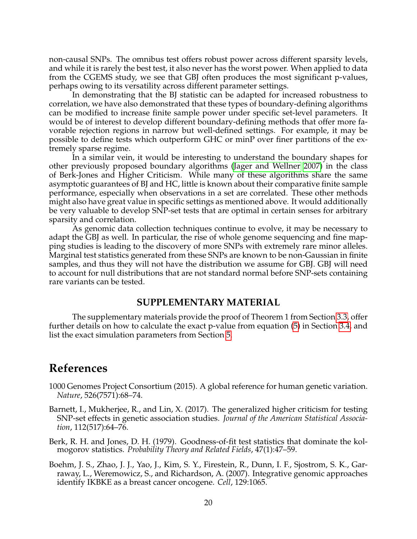non-causal SNPs. The omnibus test offers robust power across different sparsity levels, and while it is rarely the best test, it also never has the worst power. When applied to data from the CGEMS study, we see that GBJ often produces the most significant p-values, perhaps owing to its versatility across different parameter settings.

In demonstrating that the BJ statistic can be adapted for increased robustness to correlation, we have also demonstrated that these types of boundary-defining algorithms can be modified to increase finite sample power under specific set-level parameters. It would be of interest to develop different boundary-defining methods that offer more favorable rejection regions in narrow but well-defined settings. For example, it may be possible to define tests which outperform GHC or minP over finer partitions of the extremely sparse regime.

In a similar vein, it would be interesting to understand the boundary shapes for other previously proposed boundary algorithms [\(Jager and Wellner 2007\)](#page-21-6) in the class of Berk-Jones and Higher Criticism. While many of these algorithms share the same asymptotic guarantees of BJ and HC, little is known about their comparative finite sample performance, especially when observations in a set are correlated. These other methods might also have great value in specific settings as mentioned above. It would additionally be very valuable to develop SNP-set tests that are optimal in certain senses for arbitrary sparsity and correlation.

As genomic data collection techniques continue to evolve, it may be necessary to adapt the GBJ as well. In particular, the rise of whole genome sequencing and fine mapping studies is leading to the discovery of more SNPs with extremely rare minor alleles. Marginal test statistics generated from these SNPs are known to be non-Gaussian in finite samples, and thus they will not have the distribution we assume for GBJ. GBJ will need to account for null distributions that are not standard normal before SNP-sets containing rare variants can be tested.

## **SUPPLEMENTARY MATERIAL**

The supplementary materials provide the proof of Theorem 1 from Section [3.3,](#page-6-0) offer further details on how to calculate the exact p-value from equation [\(5\)](#page-8-0) in Section [3.4,](#page-8-2) and list the exact simulation parameters from Section [5.](#page-13-0)

## **References**

- <span id="page-20-2"></span>1000 Genomes Project Consortium (2015). A global reference for human genetic variation. *Nature*, 526(7571):68–74.
- <span id="page-20-0"></span>Barnett, I., Mukherjee, R., and Lin, X. (2017). The generalized higher criticism for testing SNP-set effects in genetic association studies. *Journal of the American Statistical Association*, 112(517):64–76.
- <span id="page-20-1"></span>Berk, R. H. and Jones, D. H. (1979). Goodness-of-fit test statistics that dominate the kolmogorov statistics. *Probability Theory and Related Fields*, 47(1):47–59.
- <span id="page-20-3"></span>Boehm, J. S., Zhao, J. J., Yao, J., Kim, S. Y., Firestein, R., Dunn, I. F., Sjostrom, S. K., Garraway, L., Weremowicz, S., and Richardson, A. (2007). Integrative genomic approaches identify IKBKE as a breast cancer oncogene. *Cell*, 129:1065.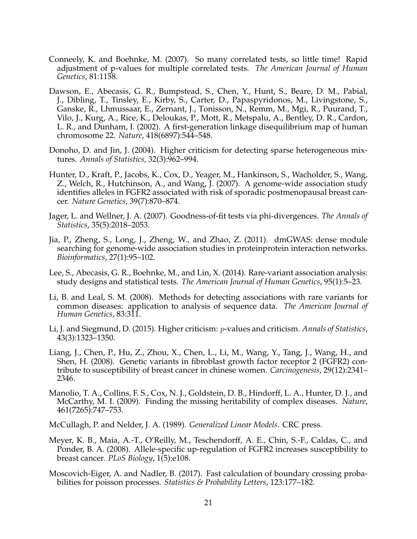- <span id="page-21-3"></span>Conneely, K. and Boehnke, M. (2007). So many correlated tests, so little time! Rapid adjustment of p-values for multiple correlated tests. *The American Journal of Human Genetics*, 81:1158.
- <span id="page-21-10"></span>Dawson, E., Abecasis, G. R., Bumpstead, S., Chen, Y., Hunt, S., Beare, D. M., Pabial, J., Dibling, T., Tinsley, E., Kirby, S., Carter, D., Papaspyridonos, M., Livingstone, S., Ganske, R., Lhmussaar, E., Zernant, J., Tonisson, N., Remm, M., Mgi, R., Puurand, T., Vilo, J., Kurg, A., Rice, K., Deloukas, P., Mott, R., Metspalu, A., Bentley, D. R., Cardon, L. R., and Dunham, I. (2002). A first-generation linkage disequilibrium map of human chromosome 22. *Nature*, 418(6897):544–548.
- <span id="page-21-5"></span>Donoho, D. and Jin, J. (2004). Higher criticism for detecting sparse heterogeneous mixtures. *Annals of Statistics*, 32(3):962–994.
- <span id="page-21-4"></span>Hunter, D., Kraft, P., Jacobs, K., Cox, D., Yeager, M., Hankinson, S., Wacholder, S., Wang, Z., Welch, R., Hutchinson, A., and Wang, J. (2007). A genome-wide association study identifies alleles in FGFR2 associated with risk of sporadic postmenopausal breast cancer. *Nature Genetics*, 39(7):870–874.
- <span id="page-21-6"></span>Jager, L. and Wellner, J. A. (2007). Goodness-of-fit tests via phi-divergences. *The Annals of Statistics*, 35(5):2018–2053.
- <span id="page-21-13"></span>Jia, P., Zheng, S., Long, J., Zheng, W., and Zhao, Z. (2011). dmGWAS: dense module searching for genome-wide association studies in proteinprotein interaction networks. *Bioinformatics*, 27(1):95–102.
- <span id="page-21-1"></span>Lee, S., Abecasis, G. R., Boehnke, M., and Lin, X. (2014). Rare-variant association analysis: study designs and statistical tests. *The American Journal of Human Genetics*, 95(1):5–23.
- <span id="page-21-2"></span>Li, B. and Leal, S. M. (2008). Methods for detecting associations with rare variants for common diseases: application to analysis of sequence data. *The American Journal of Human Genetics*, 83:311.
- <span id="page-21-7"></span>Li, J. and Siegmund, D. (2015). Higher criticism: p-values and criticism. *Annals of Statistics*, 43(3):1323–1350.
- <span id="page-21-12"></span>Liang, J., Chen, P., Hu, Z., Zhou, X., Chen, L., Li, M., Wang, Y., Tang, J., Wang, H., and Shen, H. (2008). Genetic variants in fibroblast growth factor receptor 2 (FGFR2) contribute to susceptibility of breast cancer in chinese women. *Carcinogenesis*, 29(12):2341– 2346.
- <span id="page-21-0"></span>Manolio, T. A., Collins, F. S., Cox, N. J., Goldstein, D. B., Hindorff, L. A., Hunter, D. J., and McCarthy, M. I. (2009). Finding the missing heritability of complex diseases. *Nature*, 461(7265):747–753.

<span id="page-21-9"></span>McCullagh, P. and Nelder, J. A. (1989). *Generalized Linear Models*. CRC press.

- <span id="page-21-11"></span>Meyer, K. B., Maia, A.-T., O'Reilly, M., Teschendorff, A. E., Chin, S.-F., Caldas, C., and Ponder, B. A. (2008). Allele-specific up-regulation of FGFR2 increases susceptibility to breast cancer. *PLoS Biology*, 1(5):e108.
- <span id="page-21-8"></span>Moscovich-Eiger, A. and Nadler, B. (2017). Fast calculation of boundary crossing probabilities for poisson processes. *Statistics & Probability Letters*, 123:177–182.